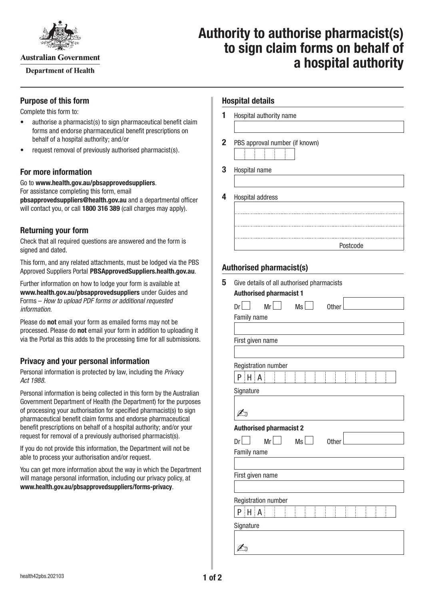

**Australian Government** 

**Department of Health** 

# **Authority to authorise pharmacist(s) to sign claim forms on behalf of a hospital authority**

#### **Purpose of this form**

Complete this form to:

- authorise a pharmacist(s) to sign pharmaceutical benefit claim forms and endorse pharmaceutical benefit prescriptions on behalf of a hospital authority; and/or
- request removal of previously authorised pharmacist(s).

### **For more information**

Go to **[www.health.gov.au/pbsapprovedsuppliers](http://www.health.gov.au/pbsapprovedsuppliers)**. For assistance completing this form, email **[pbsapprovedsuppliers@health.gov.au](mailto:pbsapprovedsuppliers@health.gov.au)** and a departmental officer will contact you, or call **1800 316 389** (call charges may apply).

### **Returning your form**

Check that all required questions are answered and the form is signed and dated.

This form, and any related attachments, must be lodged via the PBS Approved Suppliers Portal [PBSApprovedSuppliers.health.gov.au](https://pbsapprovedsuppliers.health.gov.au/).

Further information on how to lodge your form is available at **[www.health.gov.au/pbsapprovedsuppliers](http://www.health.gov.au/pbsapprovedsuppliers)** under Guides and Forms – *How to upload PDF forms or additional requested information*.

Please do **not** email your form as emailed forms may not be processed. Please do **not** email your form in addition to uploading it via the Portal as this adds to the processing time for all submissions.

#### **Privacy and your personal information**

Personal information is protected by law, including the *Privacy Act 1988.*

Personal information is being collected in this form by the Australian Government Department of Health (the Department) for the purposes of processing your authorisation for specified pharmacist(s) to sign pharmaceutical benefit claim forms and endorse pharmaceutical benefit prescriptions on behalf of a hospital authority; and/or your request for removal of a previously authorised pharmacist(s).

If you do not provide this information, the Department will not be able to process your authorisation and/or request.

You can get more information about the way in which the Department will manage personal information, including our privacy policy, at **[www.health.gov.au/pbsapprovedsuppliers/forms-privacy](http://www.health.gov.au/pbsapprovedsuppliers/forms-privacy)**.

| <b>Hospital details</b> |  |
|-------------------------|--|
|-------------------------|--|

|                  | Hospital authority name        |          |  |
|------------------|--------------------------------|----------|--|
|                  |                                |          |  |
|                  | PBS approval number (if known) |          |  |
|                  |                                |          |  |
| Hospital name    |                                |          |  |
|                  |                                |          |  |
| Hospital address |                                |          |  |
|                  |                                |          |  |
|                  |                                |          |  |
|                  |                                |          |  |
|                  |                                | Postcode |  |

#### **Authorised pharmacist(s)**

| Dr <sub>1</sub>                                           | $Mr$ | Ms        | <b>Other</b> |  |  |
|-----------------------------------------------------------|------|-----------|--------------|--|--|
| Family name                                               |      |           |              |  |  |
| First given name                                          |      |           |              |  |  |
| Registration number                                       |      |           |              |  |  |
| $P$ $H$ $A$                                               |      |           |              |  |  |
| Signature                                                 |      |           |              |  |  |
| <b>Authorised pharmacist 2</b><br>Mr<br>Dr<br>Family name |      | <b>Ms</b> | <b>Other</b> |  |  |
| First given name                                          |      |           |              |  |  |
| Registration number                                       |      |           |              |  |  |
| $P$ $H$ $A$                                               |      |           |              |  |  |
|                                                           |      |           |              |  |  |